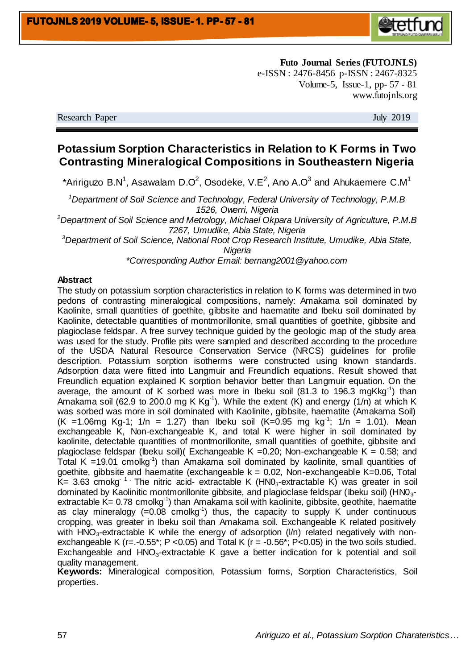

**Futo Journal Series (FUTOJNLS)** e-ISSN : 2476-8456 p-ISSN : 2467-8325 Volume-5, Issue-1, pp- 57 - 81 www.futojnls.org

Research Paper July 2019

## **Potassium Sorption Characteristics in Relation to K Forms in Two Contrasting Mineralogical Compositions in Southeastern Nigeria**

\*Aririguzo B.N<sup>1</sup>, Asawalam D.O<sup>2</sup>, Osodeke, V.E<sup>2</sup>, Ano A.O<sup>3</sup> and Ahukaemere C.M<sup>1</sup>

*<sup>1</sup>Department of Soil Science and Technology, Federal University of Technology, P.M.B 1526, Owerri, Nigeria*

*<sup>2</sup>Department of Soil Science and Metrology, Michael Okpara University of Agriculture, P.M.B 7267, Umudike, Abia State, Nigeria*

*<sup>3</sup>Department of Soil Science, National Root Crop Research Institute, Umudike, Abia State, Nigeria*

*\*Corresponding Author Email: bernang2001@yahoo.com*

#### **Abstract**

The study on potassium sorption characteristics in relation to K forms was determined in two pedons of contrasting mineralogical compositions, namely: Amakama soil dominated by Kaolinite, small quantities of goethite, gibbsite and haematite and Ibeku soil dominated by Kaolinite, detectable quantities of montmorillonite, small quantities of goethite, gibbsite and plagioclase feldspar. A free survey technique guided by the geologic map of the study area was used for the study. Profile pits were sampled and described according to the procedure of the USDA Natural Resource Conservation Service (NRCS) guidelines for profile description. Potassium sorption isotherms were constructed using known standards. Adsorption data were fitted into Langmuir and Freundlich equations. Result showed that Freundlich equation explained K sorption behavior better than Langmuir equation. On the average, the amount of K sorbed was more in Ibeku soil (81.3 to 196.3 mgKkg $^{-1}$ ) than Amakama soil (62.9 to 200.0 mg K  $Kg^{-1}$ ). While the extent (K) and energy (1/n) at which K was sorbed was more in soil dominated with Kaolinite, gibbsite, haematite (Amakama Soil) (K =1.06mg Kg-1;  $1/n = 1.27$ ) than Ibeku soil (K=0.95 mg kg<sup>-1</sup>;  $1/n = 1.01$ ). Mean exchangeable K, Non-exchangeable K, and total K were higher in soil dominated by kaolinite, detectable quantities of montmorillonite, small quantities of goethite, gibbsite and plagioclase feldspar (Ibeku soil)( Exchangeable K = 0.20; Non-exchangeable K = 0.58; and Total K =19.01 cmolkg<sup>-1</sup>) than Amakama soil dominated by kaolinite, small quantities of goethite, gibbsite and haematite (exchangeable  $k = 0.02$ , Non-exchangeable K=0.06, Total K= 3.63 cmokg<sup>-1</sup> The nitric acid- extractable K (HN0<sub>3</sub>-extractable K) was greater in soil dominated by Kaolinitic montmorillonite gibbsite, and plagioclase feldspar (Ibeku soil) (HN03  $extractable K = 0.78$  cmolkg<sup>-1</sup>) than Amakama soil with kaolinite, gibbsite, geothite, haematite as clay mineralogy (=0.08 cmolkg<sup>-1</sup>) thus, the capacity to supply K under continuous cropping, was greater in Ibeku soil than Amakama soil. Exchangeable K related positively with  $HNO<sub>3</sub>$ -extractable K while the energy of adsorption ( $V(n)$ ) related negatively with nonexchangeable K (r=.-0.55<sup>\*</sup>; P <0.05) and Total K (r = -0.56<sup>\*</sup>; P<0.05) in the two soils studied. Exchangeable and  $HNO<sub>3</sub>$ -extractable K gave a better indication for k potential and soil quality management.

**Keywords:** Mineralogical composition, Potassium forms, Sorption Characteristics, Soil properties.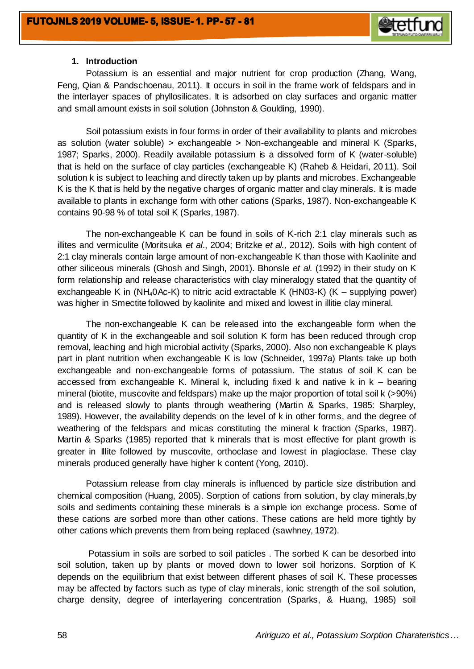## **1. Introduction**

Potassium is an essential and major nutrient for crop production (Zhang, Wang, Feng, Qian & Pandschoenau, 2011). It occurs in soil in the frame work of feldspars and in the interlayer spaces of phyllosilicates. It is adsorbed on clay surfaces and organic matter and small amount exists in soil solution (Johnston & Goulding, 1990).

Soil potassium exists in four forms in order of their availability to plants and microbes as solution (water soluble) > exchangeable > Non-exchangeable and mineral K (Sparks, 1987; Sparks, 2000). Readily available potassium is a dissolved form of K (water-soluble) that is held on the surface of clay particles (exchangeable K) (Raheb & Heidari, 2011). Soil solution k is subject to leaching and directly taken up by plants and microbes. Exchangeable K is the K that is held by the negative charges of organic matter and clay minerals. It is made available to plants in exchange form with other cations (Sparks, 1987). Non-exchangeable K contains 90-98 % of total soil K (Sparks, 1987).

The non-exchangeable K can be found in soils of K-rich 2:1 clay minerals such as illites and vermiculite (Moritsuka *et al*., 2004; Britzke *et al.,* 2012). Soils with high content of 2:1 clay minerals contain large amount of non-exchangeable K than those with Kaolinite and other siliceous minerals (Ghosh and Singh, 2001). Bhonsle *et al.* (1992) in their study on K form relationship and release characteristics with clay mineralogy stated that the quantity of exchangeable K in  $(NH_40Ac-K)$  to nitric acid extractable K (HN03-K) (K – supplying power) was higher in Smectite followed by kaolinite and mixed and lowest in illitie clay mineral.

The non-exchangeable K can be released into the exchangeable form when the quantity of K in the exchangeable and soil solution K form has been reduced through crop removal, leaching and high microbial activity (Sparks, 2000). Also non exchangeable K plays part in plant nutrition when exchangeable K is low (Schneider, 1997a) Plants take up both exchangeable and non-exchangeable forms of potassium. The status of soil K can be accessed from exchangeable K. Mineral k, including fixed k and native k in  $k -$  bearing mineral (biotite, muscovite and feldspars) make up the major proportion of total soil k (>90%) and is released slowly to plants through weathering (Martin & Sparks, 1985: Sharpley, 1989). However, the availability depends on the level of k in other forms, and the degree of weathering of the feldspars and micas constituting the mineral k fraction (Sparks, 1987). Martin & Sparks (1985) reported that k minerals that is most effective for plant growth is greater in Illite followed by muscovite, orthoclase and lowest in plagioclase. These clay minerals produced generally have higher k content (Yong, 2010).

Potassium release from clay minerals is influenced by particle size distribution and chemical composition (Huang, 2005). Sorption of cations from solution, by clay minerals,by soils and sediments containing these minerals is a simple ion exchange process. Some of these cations are sorbed more than other cations. These cations are held more tightly by other cations which prevents them from being replaced (sawhney, 1972).

Potassium in soils are sorbed to soil paticles . The sorbed K can be desorbed into soil solution, taken up by plants or moved down to lower soil horizons. Sorption of K depends on the equilibrium that exist between different phases of soil K. These processes may be affected by factors such as type of clay minerals, ionic strength of the soil solution, charge density, degree of interlayering concentration (Sparks, & Huang, 1985) soil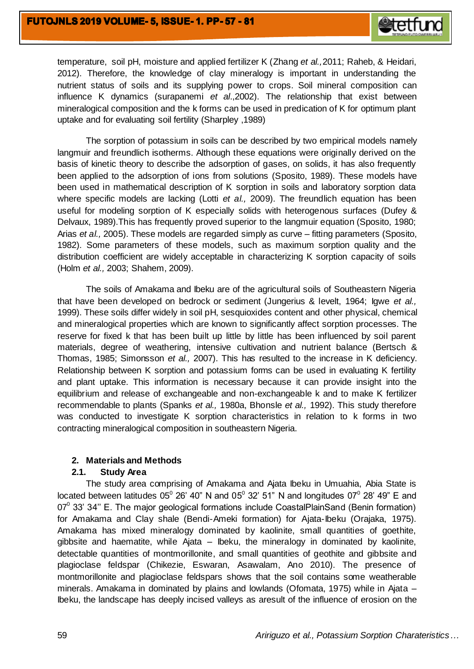temperature, soil pH, moisture and applied fertilizer K (Zhang *et al.,*2011; Raheb, & Heidari, 2012). Therefore, the knowledge of clay mineralogy is important in understanding the nutrient status of soils and its supplying power to crops. Soil mineral composition can influence K dynamics (surapanemi *et al*.,2002). The relationship that exist between mineralogical composition and the k forms can be used in predication of K for optimum plant uptake and for evaluating soil fertility (Sharpley ,1989)

The sorption of potassium in soils can be described by two empirical models namely langmuir and freundlich isotherms. Although these equations were originally derived on the basis of kinetic theory to describe the adsorption of gases, on solids, it has also frequently been applied to the adsorption of ions from solutions (Sposito, 1989). These models have been used in mathematical description of K sorption in soils and laboratory sorption data where specific models are lacking (Lotti *et al.,* 2009). The freundlich equation has been useful for modeling sorption of K especially solids with heterogenous surfaces (Dufey & Delvaux, 1989).This has frequently proved superior to the langmuir equation (Sposito, 1980; Arias *et al.,* 2005). These models are regarded simply as curve – fitting parameters (Sposito, 1982). Some parameters of these models, such as maximum sorption quality and the distribution coefficient are widely acceptable in characterizing K sorption capacity of soils (Holm *et al.,* 2003; Shahem, 2009).

The soils of Amakama and Ibeku are of the agricultural soils of Southeastern Nigeria that have been developed on bedrock or sediment (Jungerius & levelt, 1964; Igwe *et al.,* 1999). These soils differ widely in soil pH, sesquioxides content and other physical, chemical and mineralogical properties which are known to significantly affect sorption processes. The reserve for fixed k that has been built up little by little has been influenced by soil parent materials, degree of weathering, intensive cultivation and nutrient balance (Bertsch & Thomas, 1985; Simonsson *et al.,* 2007). This has resulted to the increase in K deficiency. Relationship between K sorption and potassium forms can be used in evaluating K fertility and plant uptake. This information is necessary because it can provide insight into the equilibrium and release of exchangeable and non-exchangeable k and to make K fertilizer recommendable to plants (Spanks *et al.,* 1980a, Bhonsle *et al.,* 1992). This study therefore was conducted to investigate K sorption characteristics in relation to k forms in two contracting mineralogical composition in southeastern Nigeria.

## **2. Materials and Methods**

## **2.1. Study Area**

The study area comprising of Amakama and Ajata Ibeku in Umuahia, Abia State is located between latitudes 05<sup>0</sup> 26' 40" N and 05<sup>0</sup> 32' 51" N and longitudes 07<sup>0</sup> 28' 49" E and 07 $^{\text{o}}$  33' 34" E. The major geological formations include CoastalPlainSand (Benin formation) for Amakama and Clay shale (Bendi-Ameki formation) for Ajata-Ibeku (Orajaka, 1975). Amakama has mixed mineralogy dominated by kaolinite, small quantities of goethite, gibbsite and haematite, while Ajata – Ibeku, the mineralogy in dominated by kaolinite, detectable quantities of montmorillonite, and small quantities of geothite and gibbsite and plagioclase feldspar (Chikezie, Eswaran, Asawalam, Ano 2010). The presence of montmorillonite and plagioclase feldspars shows that the soil contains some weatherable minerals. Amakama in dominated by plains and lowlands (Ofomata, 1975) while in Ajata – Ibeku, the landscape has deeply incised valleys as aresult of the influence of erosion on the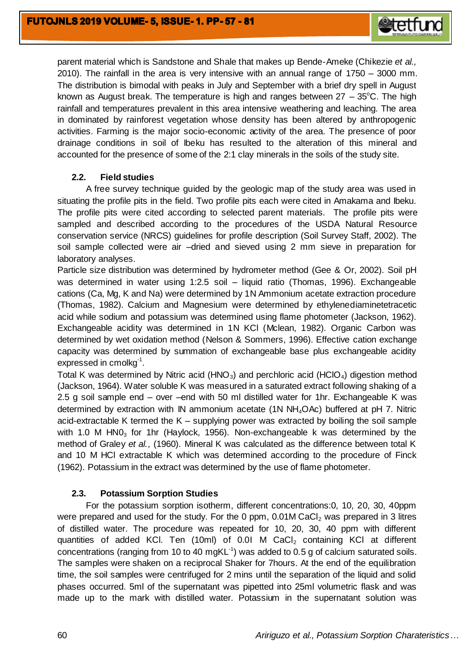

parent material which is Sandstone and Shale that makes up Bende-Ameke (Chikezie *et al.,* 2010). The rainfall in the area is very intensive with an annual range of 1750 – 3000 mm. The distribution is bimodal with peaks in July and September with a brief dry spell in August known as August break. The temperature is high and ranges between  $27 - 35^{\circ}$ C. The high rainfall and temperatures prevalent in this area intensive weathering and leaching. The area in dominated by rainforest vegetation whose density has been altered by anthropogenic activities. Farming is the major socio-economic activity of the area. The presence of poor drainage conditions in soil of Ibeku has resulted to the alteration of this mineral and accounted for the presence of some of the 2:1 clay minerals in the soils of the study site.

## **2.2. Field studies**

A free survey technique guided by the geologic map of the study area was used in situating the profile pits in the field. Two profile pits each were cited in Amakama and Ibeku. The profile pits were cited according to selected parent materials. The profile pits were sampled and described according to the procedures of the USDA Natural Resource conservation service (NRCS) guidelines for profile description (Soil Survey Staff, 2002). The soil sample collected were air –dried and sieved using 2 mm sieve in preparation for laboratory analyses.

Particle size distribution was determined by hydrometer method (Gee & Or, 2002). Soil pH was determined in water using 1:2.5 soil – liquid ratio (Thomas, 1996). Exchangeable cations (Ca, Mg, K and Na) were determined by 1N Ammonium acetate extraction procedure (Thomas, 1982). Calcium and Magnesium were determined by ethylenediaminetetracetic acid while sodium and potassium was determined using flame photometer (Jackson, 1962). Exchangeable acidity was determined in 1N KCl (Mclean, 1982). Organic Carbon was determined by wet oxidation method (Nelson & Sommers, 1996). Effective cation exchange capacity was determined by summation of exchangeable base plus exchangeable acidity expressed in cmolkg $^1$ .

Total K was determined by Nitric acid (HNO<sub>3</sub>) and perchloric acid (HClO<sub>4</sub>) digestion method (Jackson, 1964). Water soluble K was measured in a saturated extract following shaking of a 2.5 g soil sample end – over –end with 50 ml distilled water for 1hr. Exchangeable K was determined by extraction with IN ammonium acetate (1N NH4OAc) buffered at pH 7. Nitric acid-extractable K termed the K – supplying power was extracted by boiling the soil sample with 1.0 M HN0 $_3$  for 1hr (Haylock, 1956). Non-exchangeable k was determined by the method of Graley *et al.,* (1960). Mineral K was calculated as the difference between total K and 10 M HCl extractable K which was determined according to the procedure of Finck (1962). Potassium in the extract was determined by the use of flame photometer.

## **2.3. Potassium Sorption Studies**

For the potassium sorption isotherm, different concentrations:0, 10, 20, 30, 40ppm were prepared and used for the study. For the 0 ppm,  $0.01M$  CaCl<sub>2</sub> was prepared in 3 litres of distilled water. The procedure was repeated for 10, 20, 30, 40 ppm with different quantities of added KCl. Ten  $(10ml)$  of 0.01 M CaCl<sub>2</sub> containing KCl at different concentrations (ranging from 10 to 40 mgKL $^{-1}$ ) was added to 0.5 g of calcium saturated soils. The samples were shaken on a reciprocal Shaker for 7hours. At the end of the equilibration time, the soil samples were centrifuged for 2 mins until the separation of the liquid and solid phases occurred. 5ml of the supernatant was pipetted into 25ml volumetric flask and was made up to the mark with distilled water. Potassium in the supernatant solution was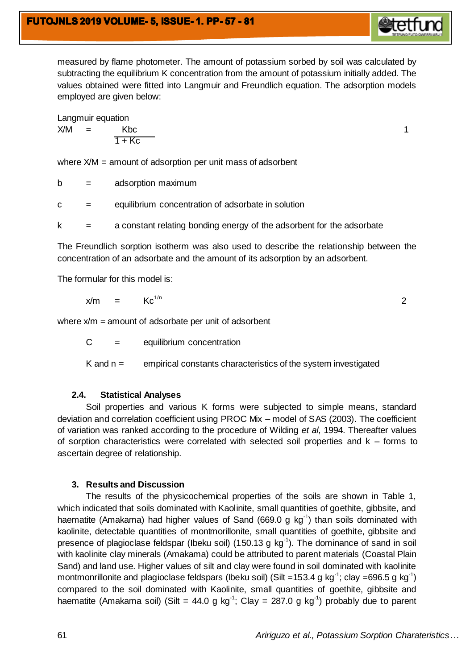## **FUTOJNLS 2019 VOLUME- 5, ISSUE- 1. PP-57 - 81**

measured by flame photometer. The amount of potassium sorbed by soil was calculated by subtracting the equilibrium K concentration from the amount of potassium initially added. The values obtained were fitted into Langmuir and Freundlich equation. The adsorption models employed are given below:

Langmuir equation

$$
X/M = \tKbc \t1 + \tKc
$$

where  $X/M =$  amount of adsorption per unit mass of adsorbent

- $b =$  adsorption maximum
- $c =$  equilibrium concentration of adsorbate in solution

k = a constant relating bonding energy of the adsorbent for the adsorbate

The Freundlich sorption isotherm was also used to describe the relationship between the concentration of an adsorbate and the amount of its adsorption by an adsorbent.

The formular for this model is:

$$
x/m = Kc^{1/n}
$$
 2

where  $x/m =$  amount of adsorbate per unit of adsorbent

C = equilibrium concentration

 $K$  and  $n =$  empirical constants characteristics of the system investigated

## **2.4. Statistical Analyses**

Soil properties and various K forms were subjected to simple means, standard deviation and correlation coefficient using PROC Mix – model of SAS (2003). The coefficient of variation was ranked according to the procedure of Wilding *et al*, 1994. Thereafter values of sorption characteristics were correlated with selected soil properties and  $k -$  forms to ascertain degree of relationship.

## **3. Results and Discussion**

The results of the physicochemical properties of the soils are shown in Table 1, which indicated that soils dominated with Kaolinite, small quantities of goethite, gibbsite, and haematite (Amakama) had higher values of Sand (669.0 g  $kg^{-1}$ ) than soils dominated with kaolinite, detectable quantities of montmorillonite, small quantities of goethite, gibbsite and presence of plagioclase feldspar (Ibeku soil) (150.13 g  $kg^{-1}$ ). The dominance of sand in soil with kaolinite clay minerals (Amakama) could be attributed to parent materials (Coastal Plain Sand) and land use. Higher values of silt and clay were found in soil dominated with kaolinite montmonrillonite and plagioclase feldspars (lbeku soil) (Silt =153.4 g kg<sup>-1</sup>; clay =696.5 g kg<sup>-1</sup>) compared to the soil dominated with Kaolinite, small quantities of goethite, gibbsite and haematite (Amakama soil) (Silt = 44.0 g kg<sup>-1</sup>; Clay = 287.0 g kg<sup>-1</sup>) probably due to parent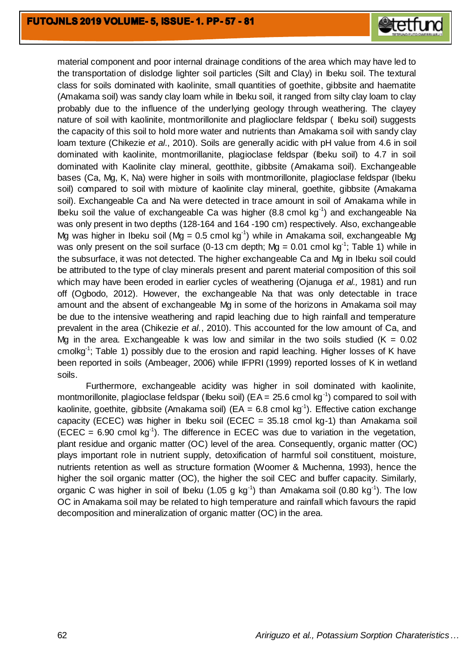

material component and poor internal drainage conditions of the area which may have led to the transportation of dislodge lighter soil particles (Silt and Clay) in Ibeku soil. The textural class for soils dominated with kaolinite, small quantities of goethite, gibbsite and haematite (Amakama soil) was sandy clay loam while in Ibeku soil, it ranged from silty clay loam to clay probably due to the influence of the underlying geology through weathering. The clayey nature of soil with kaolinite, montmorillonite and plaglioclare feldspar ( Ibeku soil) suggests the capacity of this soil to hold more water and nutrients than Amakama soil with sandy clay loam texture (Chikezie *et al*., 2010). Soils are generally acidic with pH value from 4.6 in soil dominated with kaolinite, montmorillanite, plagioclase feldspar (Ibeku soil) to 4.7 in soil dominated with Kaolinite clay mineral, geotthite, gibbsite (Amakama soil). Exchangeable bases (Ca, Mg, K, Na) were higher in soils with montmorillonite, plagioclase feldspar (Ibeku soil) compared to soil with mixture of kaolinite clay mineral, goethite, gibbsite (Amakama soil). Exchangeable Ca and Na were detected in trace amount in soil of Amakama while in lbeku soil the value of exchangeable Ca was higher  $(8.8 \text{ cmol kg}^{-1})$  and exchangeable Na was only present in two depths (128-164 and 164 -190 cm) respectively. Also, exchangeable Mg was higher in Ibeku soil (Mg = 0.5 cmol kg<sup>-1</sup>) while in Amakama soil, exchangeable Mg was only present on the soil surface (0-13 cm depth;  $Mg = 0.01$  cmol kg<sup>-1</sup>; Table 1) while in the subsurface, it was not detected. The higher exchangeable Ca and Mg in Ibeku soil could be attributed to the type of clay minerals present and parent material composition of this soil which may have been eroded in earlier cycles of weathering (Ojanuga *et al.,* 1981) and run off (Ogbodo, 2012). However, the exchangeable Na that was only detectable in trace amount and the absent of exchangeable Mg in some of the horizons in Amakama soil may be due to the intensive weathering and rapid leaching due to high rainfall and temperature prevalent in the area (Chikezie *et al*., 2010). This accounted for the low amount of Ca, and Mg in the area. Exchangeable k was low and similar in the two soils studied  $(K = 0.02)$ cmolkg<sup>-1</sup>; Table 1) possibly due to the erosion and rapid leaching. Higher losses of K have been reported in soils (Ambeager, 2006) while IFPRI (1999) reported losses of K in wetland soils.

Furthermore, exchangeable acidity was higher in soil dominated with kaolinite, montmorillonite, plagioclase feldspar (lbeku soil) ( $EA = 25.6$  cmol kg<sup>-1</sup>) compared to soil with kaolinite, goethite, gibbsite (Amakama soil) ( $EA = 6.8$  cmol kg<sup>-1</sup>). Effective cation exchange capacity (ECEC) was higher in Ibeku soil (ECEC =  $35.18$  cmol kg-1) than Amakama soil (ECEC =  $6.90$  cmol kg<sup>-1</sup>). The difference in ECEC was due to variation in the vegetation, plant residue and organic matter (OC) level of the area. Consequently, organic matter (OC) plays important role in nutrient supply, detoxification of harmful soil constituent, moisture, nutrients retention as well as structure formation (Woomer & Muchenna, 1993), hence the higher the soil organic matter (OC), the higher the soil CEC and buffer capacity. Similarly, organic C was higher in soil of Ibeku (1.05 g kg<sup>-1</sup>) than Amakama soil (0.80 kg<sup>-1</sup>). The low OC in Amakama soil may be related to high temperature and rainfall which favours the rapid decomposition and mineralization of organic matter (OC) in the area.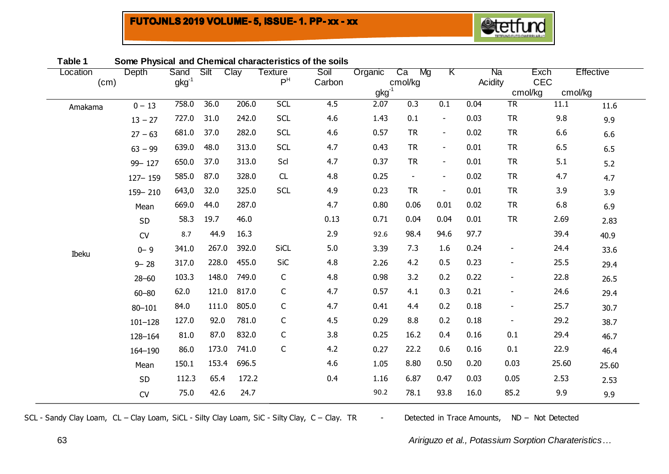# FUTOJNLS 2019 VOLUME- 5, ISSUE- 1. PP- xx - xx



| <b>L</b> anic L<br>Location | SUITE FIIJSICAL AND CHENICAL CHARACTERIUS OF THE SUITS<br><b>Depth</b> | Sand       | Silt  | <b>Clay</b> | <b>Texture</b> | Soil   | Organic    | Mg<br>Ca  | Κ              |      | Na                           | <b>Exch</b> | <b>Effective</b> |
|-----------------------------|------------------------------------------------------------------------|------------|-------|-------------|----------------|--------|------------|-----------|----------------|------|------------------------------|-------------|------------------|
|                             | (cm)                                                                   | $gkg^{-1}$ |       |             | P <sup>H</sup> | Carbon |            | cmol/kg   |                |      | Acidity                      | <b>CEC</b>  |                  |
|                             |                                                                        |            |       |             |                |        | $gkg^{-1}$ |           |                |      |                              | cmol/kg     | cmol/kg          |
| Amakama                     | $0 - 13$                                                               | 758.0      | 36.0  | 206.0       | <b>SCL</b>     | 4.5    | 2.07       | 0.3       | 0.1            | 0.04 | <b>TR</b>                    | 11.1        | 11.6             |
|                             | $13 - 27$                                                              | 727.0      | 31.0  | 242.0       | <b>SCL</b>     | 4.6    | 1.43       | 0.1       | $\blacksquare$ | 0.03 | <b>TR</b>                    | 9.8         | 9.9              |
|                             | $27 - 63$                                                              | 681.0      | 37.0  | 282.0       | <b>SCL</b>     | 4.6    | 0.57       | <b>TR</b> | $\sim$         | 0.02 | <b>TR</b>                    | 6.6         | 6.6              |
|                             | $63 - 99$                                                              | 639.0      | 48.0  | 313.0       | <b>SCL</b>     | 4.7    | 0.43       | <b>TR</b> | $\sim$         | 0.01 | <b>TR</b>                    | 6.5         | 6.5              |
|                             | 99-127                                                                 | 650.0      | 37.0  | 313.0       | Scl            | 4.7    | 0.37       | <b>TR</b> | $\sim$         | 0.01 | <b>TR</b>                    | 5.1         | 5.2              |
|                             | $127 - 159$                                                            | 585.0      | 87.0  | 328.0       | CL             | 4.8    | 0.25       |           | $\sim$         | 0.02 | <b>TR</b>                    | 4.7         | 4.7              |
|                             | 159 - 210                                                              | 643,0      | 32.0  | 325.0       | <b>SCL</b>     | 4.9    | 0.23       | <b>TR</b> | $\sim$         | 0.01 | <b>TR</b>                    | 3.9         | 3.9              |
|                             | Mean                                                                   | 669.0      | 44.0  | 287.0       |                | 4.7    | 0.80       | 0.06      | 0.01           | 0.02 | <b>TR</b>                    | 6.8         | 6.9              |
|                             | SD                                                                     | 58.3       | 19.7  | 46.0        |                | 0.13   | 0.71       | 0.04      | 0.04           | 0.01 | <b>TR</b>                    | 2.69        | 2.83             |
|                             | CV                                                                     | 8.7        | 44.9  | 16.3        |                | 2.9    | 92.6       | 98.4      | 94.6           | 97.7 |                              | 39.4        | 40.9             |
| Ibeku                       | $0 - 9$                                                                | 341.0      | 267.0 | 392.0       | <b>SiCL</b>    | 5.0    | 3.39       | 7.3       | 1.6            | 0.24 | $\overline{\phantom{a}}$     | 24.4        | 33.6             |
|                             | $9 - 28$                                                               | 317.0      | 228.0 | 455.0       | <b>SiC</b>     | 4.8    | 2.26       | 4.2       | 0.5            | 0.23 | $\blacksquare$               | 25.5        | 29.4             |
|                             | $28 - 60$                                                              | 103.3      | 148.0 | 749.0       | $\mathsf C$    | 4.8    | 0.98       | 3.2       | 0.2            | 0.22 | $\blacksquare$               | 22.8        | 26.5             |
|                             | $60 - 80$                                                              | 62.0       | 121.0 | 817.0       | C              | 4.7    | 0.57       | 4.1       | 0.3            | 0.21 | $\blacksquare$               | 24.6        | 29.4             |
|                             | $80 - 101$                                                             | 84.0       | 111.0 | 805.0       | $\mathsf C$    | 4.7    | 0.41       | 4.4       | 0.2            | 0.18 | $\qquad \qquad \blacksquare$ | 25.7        | 30.7             |
|                             | $101 - 128$                                                            | 127.0      | 92.0  | 781.0       | $\mathsf{C}$   | 4.5    | 0.29       | 8.8       | 0.2            | 0.18 | $\blacksquare$               | 29.2        | 38.7             |
|                             | 128-164                                                                | 81.0       | 87.0  | 832.0       | $\mathsf C$    | 3.8    | 0.25       | 16.2      | 0.4            | 0.16 | 0.1                          | 29.4        | 46.7             |
|                             | 164-190                                                                | 86.0       | 173.0 | 741.0       | $\mathsf C$    | 4.2    | 0.27       | 22.2      | 0.6            | 0.16 | 0.1                          | 22.9        | 46.4             |
|                             | Mean                                                                   | 150.1      | 153.4 | 696.5       |                | 4.6    | 1.05       | 8.80      | 0.50           | 0.20 | 0.03                         | 25.60       | 25.60            |
|                             | SD                                                                     | 112.3      | 65.4  | 172.2       |                | 0.4    | 1.16       | 6.87      | 0.47           | 0.03 | 0.05                         | 2.53        | 2.53             |
|                             | ${\sf CV}$                                                             | 75.0       | 42.6  | 24.7        |                |        | 90.2       | 78.1      | 93.8           | 16.0 | 85.2                         | 9.9         | 9.9              |
|                             |                                                                        |            |       |             |                |        |            |           |                |      |                              |             |                  |

#### **Table 1 Some Physical and Chemical characteristics of the soils**

SCL - Sandy Clay Loam, CL - Clay Loam, SiCL - Silty Clay Loam, SiC - Silty Clay, C - Clay. TR - Detected in Trace Amounts, ND - Not Detected

63 *Aririguzo et al., Potassium Sorption Charateristics…*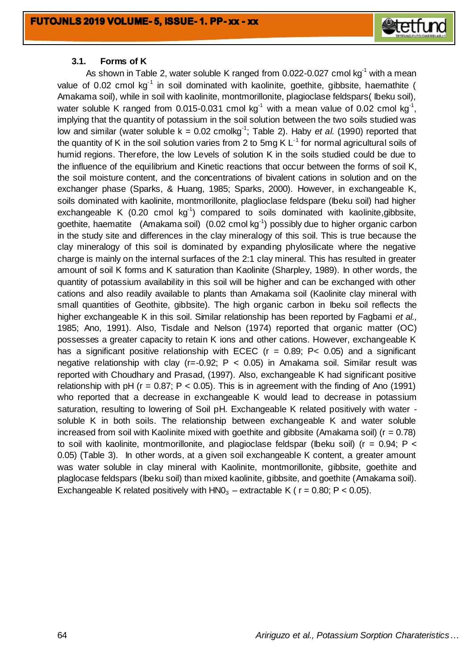

## **3.1. Forms of K**

As shown in Table 2, water soluble K ranged from 0.022-0.027 cmol  $kg<sup>-1</sup>$  with a mean value of 0.02 cmol kg<sup>-1</sup> in soil dominated with kaolinite, goethite, gibbsite, haemathite ( Amakama soil), while in soil with kaolinite, montmorillonite, plagioclase feldspars( Ibeku soil), water soluble K ranged from 0.015-0.031 cmol kg<sup>-1</sup> with a mean value of 0.02 cmol kg<sup>-1</sup>, implying that the quantity of potassium in the soil solution between the two soils studied was low and similar (water soluble k = 0.02 cmolkg<sup>-1</sup>; Table 2). Haby *et al.* (1990) reported that the quantity of K in the soil solution varies from 2 to 5mg K L<sup>-1</sup> for normal agricultural soils of humid regions. Therefore, the low Levels of solution K in the soils studied could be due to the influence of the equilibrium and Kinetic reactions that occur between the forms of soil K, the soil moisture content, and the concentrations of bivalent cations in solution and on the exchanger phase (Sparks, & Huang, 1985; Sparks, 2000). However, in exchangeable K, soils dominated with kaolinite, montmorillonite, plaglioclase feldspare (Ibeku soil) had higher exchangeable K (0.20 cmol  $kg^{-1}$ ) compared to soils dominated with kaolinite, gibbsite, goethite, haematite (Amakama soil) (0.02 cmol kg<sup>-1</sup>) possibly due to higher organic carbon in the study site and differences in the clay mineralogy of this soil. This is true because the clay mineralogy of this soil is dominated by expanding phylosilicate where the negative charge is mainly on the internal surfaces of the 2:1 clay mineral. This has resulted in greater amount of soil K forms and K saturation than Kaolinite (Sharpley, 1989). In other words, the quantity of potassium availability in this soil will be higher and can be exchanged with other cations and also readily available to plants than Amakama soil (Kaolinite clay mineral with small quantities of Geothite, gibbsite). The high organic carbon in Ibeku soil reflects the higher exchangeable K in this soil. Similar relationship has been reported by Fagbami *et al.,* 1985; Ano, 1991). Also, Tisdale and Nelson (1974) reported that organic matter (OC) possesses a greater capacity to retain K ions and other cations. However, exchangeable K has a significant positive relationship with ECEC ( $r = 0.89$ ; P< 0.05) and a significant negative relationship with clay (r=-0.92;  $P$  < 0.05) in Amakama soil. Similar result was reported with Choudhary and Prasad, (1997). Also, exchangeable K had significant positive relationship with pH ( $r = 0.87$ ;  $P < 0.05$ ). This is in agreement with the finding of Ano (1991) who reported that a decrease in exchangeable K would lead to decrease in potassium saturation, resulting to lowering of Soil pH. Exchangeable K related positively with water soluble K in both soils. The relationship between exchangeable K and water soluble increased from soil with Kaolinite mixed with goethite and gibbsite (Amakama soil) ( $r = 0.78$ ) to soil with kaolinite, montmorillonite, and plagioclase feldspar (Ibeku soil) ( $r = 0.94$ ; P < 0.05) (Table 3). In other words, at a given soil exchangeable K content, a greater amount was water soluble in clay mineral with Kaolinite, montmorillonite, gibbsite, goethite and plaglocase feldspars (Ibeku soil) than mixed kaolinite, gibbsite, and goethite (Amakama soil). Exchangeable K related positively with  $HNO<sub>3</sub> - extractable K$  ( $r = 0.80$ ;  $P < 0.05$ ).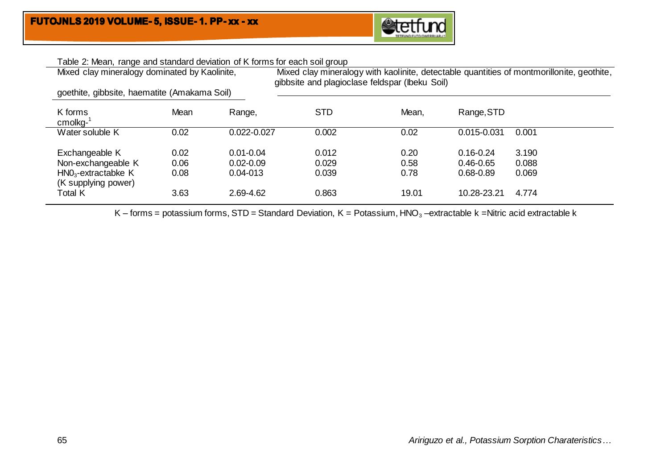

Table 2: Mean, range and standard deviation of K forms for each soil group

| Mixed clay mineralogy dominated by Kaolinite, |      |               | gibbsite and plagioclase feldspar (lbeku Soil) |       |               | Mixed clay mineralogy with kaolinite, detectable quantities of montmorillonite, geothite, |
|-----------------------------------------------|------|---------------|------------------------------------------------|-------|---------------|-------------------------------------------------------------------------------------------|
| goethite, gibbsite, haematite (Amakama Soil)  |      |               |                                                |       |               |                                                                                           |
| K forms<br>$cmolka-1$                         | Mean | Range,        | <b>STD</b>                                     | Mean, | Range, STD    |                                                                                           |
| Water soluble K                               | 0.02 | 0.022-0.027   | 0.002                                          | 0.02  | 0.015-0.031   | 0.001                                                                                     |
| Exchangeable K                                | 0.02 | $0.01 - 0.04$ | 0.012                                          | 0.20  | $0.16 - 0.24$ | 3.190                                                                                     |
| Non-exchangeable K                            | 0.06 | $0.02 - 0.09$ | 0.029                                          | 0.58  | $0.46 - 0.65$ | 0.088                                                                                     |
| $HNO3$ -extractabke K<br>(K supplying power)  | 0.08 | $0.04 - 013$  | 0.039                                          | 0.78  | $0.68 - 0.89$ | 0.069                                                                                     |
| Total K                                       | 3.63 | 2.69-4.62     | 0.863                                          | 19.01 | 10.28-23.21   | 4.774                                                                                     |

K – forms = potassium forms, STD = Standard Deviation, K = Potassium, HNO<sub>3</sub> –extractable k =Nitric acid extractable k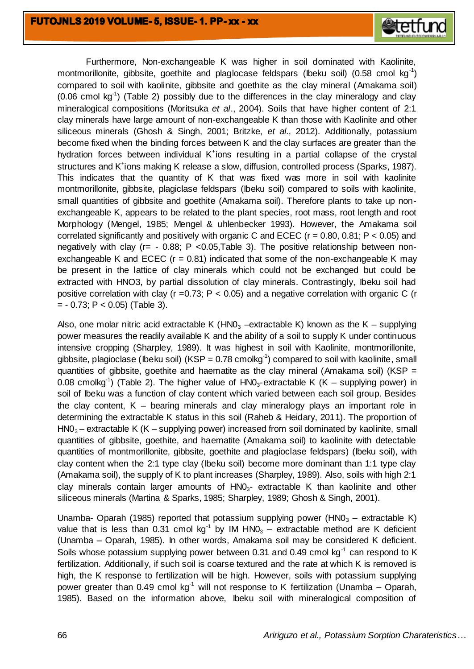

Furthermore, Non-exchangeable K was higher in soil dominated with Kaolinite, montmorillonite, gibbsite, goethite and plaglocase feldspars (lbeku soil) (0.58 cmol kg $^{-1}$ ) compared to soil with kaolinite, gibbsite and goethite as the clay mineral (Amakama soil)  $(0.06 \text{ cmol kg}^{-1})$  (Table 2) possibly due to the differences in the clay mineralogy and clay mineralogical compositions (Moritsuka *et al*., 2004). Soils that have higher content of 2:1 clay minerals have large amount of non-exchangeable K than those with Kaolinite and other siliceous minerals (Ghosh & Singh, 2001; Britzke, *et al*., 2012). Additionally, potassium become fixed when the binding forces between K and the clay surfaces are greater than the hydration forces between individual K<sup>+</sup>ions resulting in a partial collapse of the crystal structures and K<sup>+</sup>ions making K release a slow, diffusion, controlled process (Sparks, 1987). This indicates that the quantity of K that was fixed was more in soil with kaolinite montmorillonite, gibbsite, plagiclase feldspars (Ibeku soil) compared to soils with kaolinite, small quantities of gibbsite and goethite (Amakama soil). Therefore plants to take up nonexchangeable K, appears to be related to the plant species, root mass, root length and root Morphology (Mengel, 1985; Mengel & uhlenbecker 1993). However, the Amakama soil correlated significantly and positively with organic C and ECEC ( $r = 0.80$ , 0.81;  $P < 0.05$ ) and negatively with clay ( $r = -0.88$ ; P < 0.05, Table 3). The positive relationship between nonexchangeable K and ECEC ( $r = 0.81$ ) indicated that some of the non-exchangeable K may be present in the lattice of clay minerals which could not be exchanged but could be extracted with HNO3, by partial dissolution of clay minerals. Contrastingly, Ibeku soil had positive correlation with clay ( $r = 0.73$ ;  $P < 0.05$ ) and a negative correlation with organic C ( $r = 0.73$ )  $= -0.73$ ; P < 0.05) (Table 3).

Also, one molar nitric acid extractable K (HNO<sub>3</sub> –extractable K) known as the K – supplying power measures the readily available K and the ability of a soil to supply K under continuous intensive cropping (Sharpley, 1989). It was highest in soil with Kaolinite, montmorillonite, gibbsite, plagioclase (lbeku soil) (KSP = 0.78 cmolkg<sup>-1</sup>) compared to soil with kaolinite, small quantities of gibbsite, goethite and haematite as the clay mineral (Amakama soil) (KSP = 0.08 cmolkg<sup>-1</sup>) (Table 2). The higher value of  $HNO<sub>3</sub>$ -extractable K (K – supplying power) in soil of Ibeku was a function of clay content which varied between each soil group. Besides the clay content,  $K -$  bearing minerals and clay mineralogy plays an important role in determining the extractable K status in this soil (Raheb & Heidary, 2011). The proportion of  $HNO<sub>3</sub> -$  extractable K (K – supplying power) increased from soil dominated by kaolinite, small quantities of gibbsite, goethite, and haematite (Amakama soil) to kaolinite with detectable quantities of montmorillonite, gibbsite, goethite and plagioclase feldspars) (Ibeku soil), with clay content when the 2:1 type clay (Ibeku soil) become more dominant than 1:1 type clay (Amakama soil), the supply of K to plant increases (Sharpley, 1989). Also, soils with high 2:1 clay minerals contain larger amounts of  $HNO<sub>3</sub>-$  extractable K than kaolinite and other siliceous minerals (Martina & Sparks, 1985; Sharpley, 1989; Ghosh & Singh, 2001).

Unamba- Oparah (1985) reported that potassium supplying power (HN0 $_3$  – extractable K) value that is less than 0.31 cmol kg<sup>-1</sup> by IM HN0<sub>3</sub> – extractable method are K deficient (Unamba – Oparah, 1985). In other words, Amakama soil may be considered K deficient. Soils whose potassium supplying power between 0.31 and 0.49 cmol kg $^{-1}$  can respond to K fertilization. Additionally, if such soil is coarse textured and the rate at which K is removed is high, the K response to fertilization will be high. However, soils with potassium supplying power greater than 0.49 cmol kg<sup>-1</sup> will not response to K fertilization (Unamba – Oparah, 1985). Based on the information above, Ibeku soil with mineralogical composition of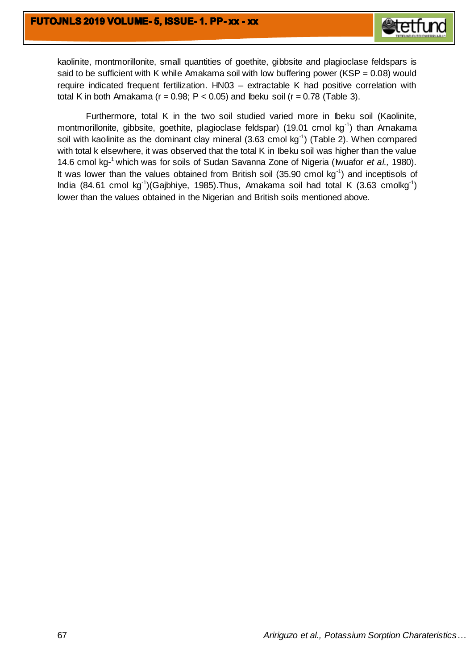

kaolinite, montmorillonite, small quantities of goethite, gibbsite and plagioclase feldspars is said to be sufficient with K while Amakama soil with low buffering power (KSP =  $0.08$ ) would require indicated frequent fertilization. HN03 – extractable K had positive correlation with total K in both Amakama ( $r = 0.98$ ;  $P < 0.05$ ) and Ibeku soil ( $r = 0.78$  (Table 3).

Furthermore, total K in the two soil studied varied more in Ibeku soil (Kaolinite, montmorillonite, gibbsite, goethite, plagioclase feldspar) (19.01 cmol kg<sup>-1</sup>) than Amakama soil with kaolinite as the dominant clay mineral (3.63 cmol  $kg^{-1}$ ) (Table 2). When compared with total k elsewhere, it was observed that the total K in Ibeku soil was higher than the value 14.6 cmol kg-<sup>1</sup> which was for soils of Sudan Savanna Zone of Nigeria (Iwuafor *et al.,* 1980). It was lower than the values obtained from British soil (35.90 cmol  $kg^{-1}$ ) and inceptisols of India (84.61 cmol kg<sup>-1</sup>)(Gajbhiye, 1985). Thus, Amakama soil had total K (3.63 cmolkg<sup>-1</sup>) lower than the values obtained in the Nigerian and British soils mentioned above.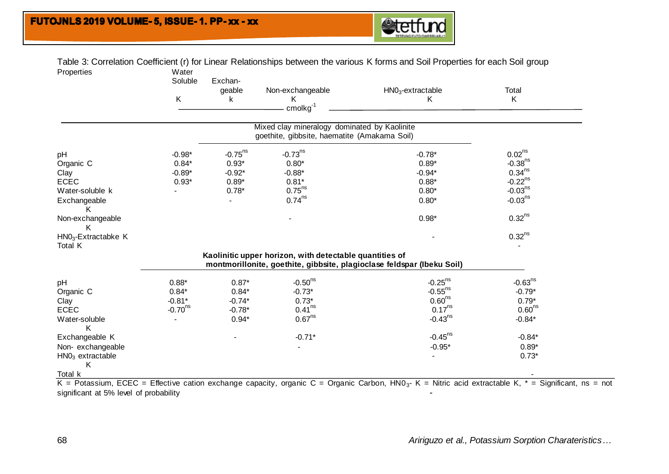

Table 3: Correlation Coefficient (r) for Linear Relationships between the various K forms and Soil Properties for each Soil group Properties Water

|                                                                                                                                             | Soluble<br>K                                   | Exchan-<br>geable<br>k                                             | Non-exchangeable<br>K<br>$cm$ olkg $^{-1}$                                                     | $HNO3$ -extractable<br>K                                                                                     | Total<br>K                                                                                                                                |
|---------------------------------------------------------------------------------------------------------------------------------------------|------------------------------------------------|--------------------------------------------------------------------|------------------------------------------------------------------------------------------------|--------------------------------------------------------------------------------------------------------------|-------------------------------------------------------------------------------------------------------------------------------------------|
|                                                                                                                                             |                                                |                                                                    | Mixed clay mineralogy dominated by Kaolinite<br>goethite, gibbsite, haematite (Amakama Soil)   |                                                                                                              |                                                                                                                                           |
| pH<br>Organic C<br>Clay<br><b>ECEC</b><br>Water-soluble k<br>Exchangeable<br>Κ<br>Non-exchangeable<br>Κ<br>$HNO3$ -Extractabke K<br>Total K | $-0.98*$<br>$0.84*$<br>$-0.89*$<br>$0.93*$     | $-0.75$ <sup>ns</sup><br>$0.93*$<br>$-0.92*$<br>$0.89*$<br>$0.78*$ | $-0.73^{ns}$<br>$0.80*$<br>$-0.88*$<br>$0.81*$<br>$0.75$ <sup>ns</sup><br>$0.74$ <sup>ns</sup> | $-0.78*$<br>$0.89*$<br>$-0.94*$<br>$0.88*$<br>$0.80*$<br>$0.80*$<br>$0.98*$                                  | $0.02^{ns}$<br>$-0.38$ <sup>ns</sup><br>0.34 <sup>ns</sup><br>$-0.22^{ns}$<br>$-0.03ns$<br>$-0.03ns$<br>$0.32^{ns}$<br>0.32 <sup>ns</sup> |
|                                                                                                                                             |                                                |                                                                    | Kaolinitic upper horizon, with detectable quantities of                                        | montmorillonite, goethite, gibbsite, plagioclase feldspar (Ibeku Soil)                                       |                                                                                                                                           |
| pH<br>Organic C<br>Clay<br><b>ECEC</b><br>Water-soluble<br>Κ                                                                                | $0.88*$<br>$0.84*$<br>$-0.81*$<br>$-0.70^{ns}$ | $0.87*$<br>$0.84*$<br>$-0.74*$<br>$-0.78*$<br>$0.94*$              | $-0.50$ <sup>ns</sup><br>$-0.73*$<br>$0.73*$<br>0.41 <sup>ns</sup><br>0.67 <sup>ns</sup>       | $-0.25$ <sup>ns</sup><br>$-0.55$ <sup>ns</sup><br>0.60 <sup>ns</sup><br>$0.17^{ns}$<br>$-0.43$ <sup>ns</sup> | $-0.63ns$<br>$-0.79*$<br>$0.79*$<br>0.60 <sup>ns</sup><br>$-0.84*$                                                                        |
| Exchangeable K<br>Non-exchangeable<br>$HNO3$ extractable<br>Κ<br>Total k                                                                    |                                                |                                                                    | $-0.71*$                                                                                       | $-0.45$ <sup>ns</sup><br>$-0.95*$                                                                            | $-0.84*$<br>$0.89*$<br>$0.73*$                                                                                                            |

 $K =$  Potassium, ECEC = Effective cation exchange capacity, organic C = Organic Carbon, HN0<sub>3</sub>- K = Nitric acid extractable K, \* = Significant, ns = not significant at 5% level of probability **-**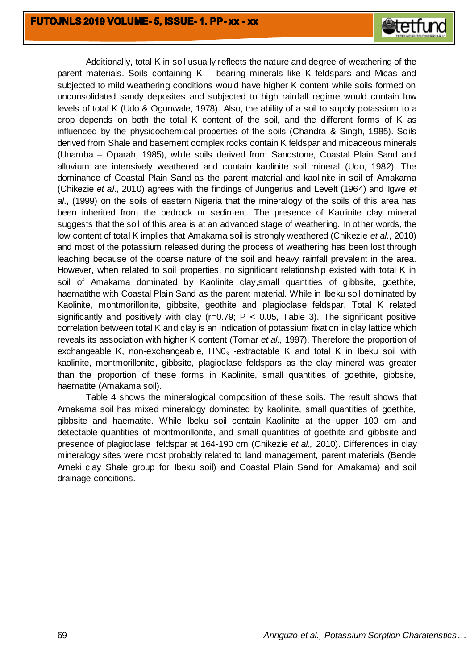

Additionally, total K in soil usually reflects the nature and degree of weathering of the parent materials. Soils containing K – bearing minerals like K feldspars and Micas and subjected to mild weathering conditions would have higher K content while soils formed on unconsolidated sandy deposites and subjected to high rainfall regime would contain low levels of total K (Udo & Ogunwale, 1978). Also, the ability of a soil to supply potassium to a crop depends on both the total K content of the soil, and the different forms of K as influenced by the physicochemical properties of the soils (Chandra & Singh, 1985). Soils derived from Shale and basement complex rocks contain K feldspar and micaceous minerals (Unamba – Oparah, 1985), while soils derived from Sandstone, Coastal Plain Sand and alluvium are intensively weathered and contain kaolinite soil mineral (Udo, 1982). The dominance of Coastal Plain Sand as the parent material and kaolinite in soil of Amakama (Chikezie *et al*., 2010) agrees with the findings of Jungerius and Levelt (1964) and Igwe *et al*., (1999) on the soils of eastern Nigeria that the mineralogy of the soils of this area has been inherited from the bedrock or sediment. The presence of Kaolinite clay mineral suggests that the soil of this area is at an advanced stage of weathering. In other words, the low content of total K implies that Amakama soil is strongly weathered (Chikezie *et al*., 2010) and most of the potassium released during the process of weathering has been lost through leaching because of the coarse nature of the soil and heavy rainfall prevalent in the area. However, when related to soil properties, no significant relationship existed with total K in soil of Amakama dominated by Kaolinite clay, small quantities of gibbsite, goethite, haematithe with Coastal Plain Sand as the parent material. While in Ibeku soil dominated by Kaolinite, montmorillonite, gibbsite, geothite and plagioclase feldspar, Total K related significantly and positively with clay (r=0.79;  $P < 0.05$ , Table 3). The significant positive correlation between total K and clay is an indication of potassium fixation in clay lattice which reveals its association with higher K content (Tomar *et al*., 1997). Therefore the proportion of exchangeable K, non-exchangeable,  $HNO<sub>3</sub>$  -extractable K and total K in Ibeku soil with kaolinite, montmorillonite, gibbsite, plagioclase feldspars as the clay mineral was greater than the proportion of these forms in Kaolinite, small quantities of goethite, gibbsite, haematite (Amakama soil).

Table 4 shows the mineralogical composition of these soils. The result shows that Amakama soil has mixed mineralogy dominated by kaolinite, small quantities of goethite, gibbsite and haematite. While Ibeku soil contain Kaolinite at the upper 100 cm and detectable quantities of montmorillonite, and small quantities of goethite and gibbsite and presence of plagioclase feldspar at 164-190 cm (Chikezie *et al.,* 2010). Differences in clay mineralogy sites were most probably related to land management, parent materials (Bende Ameki clay Shale group for Ibeku soil) and Coastal Plain Sand for Amakama) and soil drainage conditions.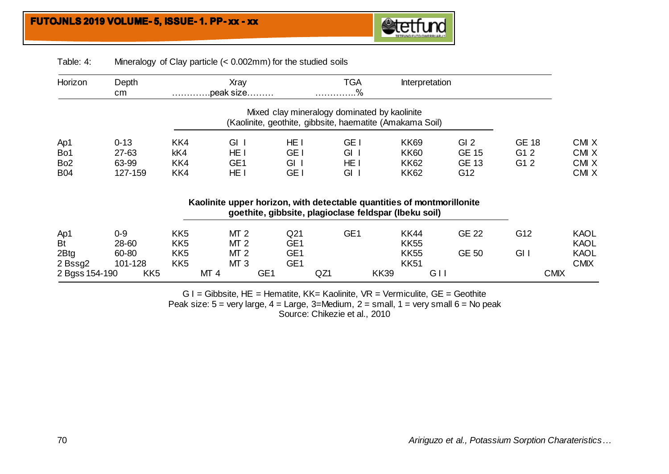

| Table: 4:                                               |                                           |                                    | Mineralogy of Clay particle $(0.002 \text{mm})$ for the studied soils  |                                    |                                                                                                          |             |                                                          |                                                        |                              |                                  |
|---------------------------------------------------------|-------------------------------------------|------------------------------------|------------------------------------------------------------------------|------------------------------------|----------------------------------------------------------------------------------------------------------|-------------|----------------------------------------------------------|--------------------------------------------------------|------------------------------|----------------------------------|
| Horizon                                                 | Depth<br>cm                               | .                                  | Xray<br>.peak size                                                     |                                    | <b>TGA</b><br>%                                                                                          |             | Interpretation                                           |                                                        |                              |                                  |
|                                                         |                                           |                                    |                                                                        |                                    | Mixed clay mineralogy dominated by kaolinite<br>(Kaolinite, geothite, gibbsite, haematite (Amakama Soil) |             |                                                          |                                                        |                              |                                  |
| Ap1<br>Bo <sub>1</sub><br>Bo <sub>2</sub><br><b>B04</b> | $0 - 13$<br>$27 - 63$<br>63-99<br>127-159 | KK4<br>kK4<br>KK4<br>KK4           | GI I<br>HE I<br>GE <sub>1</sub><br>HE I                                | HE I<br>GE I<br>GI I<br>GE I       | GE I<br>GI I<br>HE I<br>GI I                                                                             |             | <b>KK69</b><br><b>KK60</b><br><b>KK62</b><br><b>KK62</b> | GI <sub>2</sub><br><b>GE 15</b><br><b>GE 13</b><br>G12 | <b>GE 18</b><br>G1 2<br>G1 2 | CMI X<br>CMI X<br>CMI X<br>CMI X |
|                                                         |                                           |                                    | Kaolinite upper horizon, with detectable quantities of montmorillonite |                                    | goethite, gibbsite, plagioclase feldspar (Ibeku soil)                                                    |             |                                                          |                                                        |                              |                                  |
| Ap1<br><b>Bt</b>                                        | $0 - 9$<br>28-60                          | KK <sub>5</sub><br>KK <sub>5</sub> | MT <sub>2</sub><br>MT <sub>2</sub>                                     | Q <sub>21</sub><br>GE <sub>1</sub> | GE <sub>1</sub>                                                                                          |             | <b>KK44</b><br><b>KK55</b>                               | <b>GE 22</b>                                           | G12                          | <b>KAOL</b><br><b>KAOL</b>       |
| 2Btg<br>2 Bssg2                                         | 60-80<br>101-128                          | KK <sub>5</sub><br>KK <sub>5</sub> | MT <sub>2</sub><br>MT <sub>3</sub>                                     | GE <sub>1</sub><br>GE <sub>1</sub> |                                                                                                          |             | <b>KK55</b><br><b>KK51</b>                               | <b>GE 50</b>                                           | GII                          | <b>KAOL</b><br><b>CMIX</b>       |
| 2 Bgss 154-190                                          | KK <sub>5</sub>                           |                                    | MT 4                                                                   | GE <sub>1</sub>                    | QZ1                                                                                                      | <b>KK39</b> |                                                          | GII                                                    |                              | <b>CMIX</b>                      |

 $G I = Gibbsite$ , HE = Hematite, KK= Kaolinite, VR = Vermiculite, GE = Geothite Peak size:  $5 =$  very large,  $4 =$  Large,  $3 =$ Medium,  $2 =$  small,  $1 =$  very small  $6 =$  No peak Source: Chikezie et al., 2010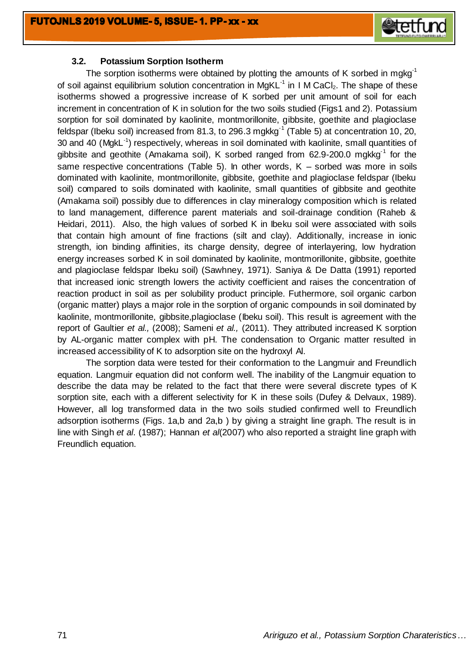

## **3.2. Potassium Sorption Isotherm**

The sorption isotherms were obtained by plotting the amounts of K sorbed in mgkg<sup>-1</sup> of soil against equilibrium solution concentration in MgKL $1$  in I M CaCl<sub>2</sub>. The shape of these isotherms showed a progressive increase of K sorbed per unit amount of soil for each increment in concentration of K in solution for the two soils studied (Figs1 and 2). Potassium sorption for soil dominated by kaolinite, montmorillonite, gibbsite, goethite and plagioclase feldspar (Ibeku soil) increased from 81.3, to 296.3 mgkkg<sup>-1</sup> (Table 5) at concentration 10, 20, 30 and 40 (MgkL<sup>-1</sup>) respectively, whereas in soil dominated with kaolinite, small quantities of gibbsite and geothite (Amakama soil), K sorbed ranged from  $62.9$ -200.0 mgkkg<sup>-1</sup> for the same respective concentrations (Table 5). In other words,  $K -$  sorbed was more in soils dominated with kaolinite, montmorillonite, gibbsite, goethite and plagioclase feldspar (Ibeku soil) compared to soils dominated with kaolinite, small quantities of gibbsite and geothite (Amakama soil) possibly due to differences in clay mineralogy composition which is related to land management, difference parent materials and soil-drainage condition (Raheb & Heidari, 2011). Also, the high values of sorbed K in Ibeku soil were associated with soils that contain high amount of fine fractions (silt and clay). Additionally, increase in ionic strength, ion binding affinities, its charge density, degree of interlayering, low hydration energy increases sorbed K in soil dominated by kaolinite, montmorillonite, gibbsite, goethite and plagioclase feldspar Ibeku soil) (Sawhney, 1971). Saniya & De Datta (1991) reported that increased ionic strength lowers the activity coefficient and raises the concentration of reaction product in soil as per solubility product principle. Futhermore, soil organic carbon (organic matter) plays a major role in the sorption of organic compounds in soil dominated by kaolinite, montmorillonite, gibbsite,plagioclase (Ibeku soil). This result is agreement with the report of Gaultier *et al.,* (2008); Sameni *et al.,* (2011). They attributed increased K sorption by AL-organic matter complex with pH. The condensation to Organic matter resulted in increased accessibility of K to adsorption site on the hydroxyl Al.

The sorption data were tested for their conformation to the Langmuir and Freundlich equation. Langmuir equation did not conform well. The inability of the Langmuir equation to describe the data may be related to the fact that there were several discrete types of K sorption site, each with a different selectivity for K in these soils (Dufey & Delvaux, 1989). However, all log transformed data in the two soils studied confirmed well to Freundlich adsorption isotherms (Figs. 1a,b and 2a,b ) by giving a straight line graph. The result is in line with Singh *et al*. (1987); Hannan *et al*(2007) who also reported a straight line graph with Freundlich equation.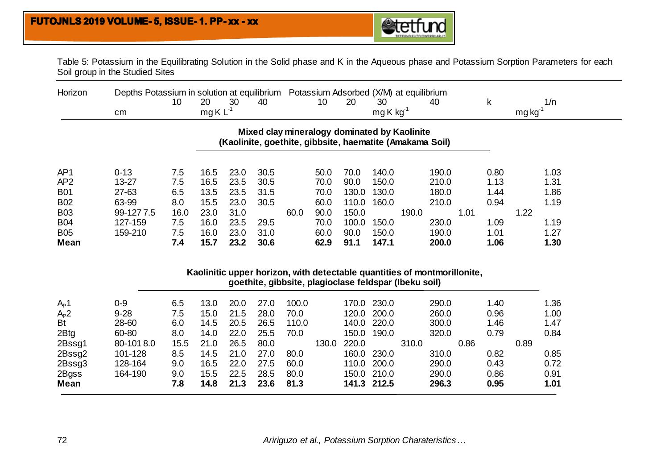

Table 5: Potassium in the Equilibrating Solution in the Solid phase and K in the Aqueous phase and Potassium Sorption Parameters for each Soil group in the Studied Sites

| Horizon         | Depths Potassium in solution at equilibrium<br>cm | 10   | 20<br>$mgK L-1$ | 30   | 40   |      | 10   | Potassium Adsorbed (X/M) at equilibrium<br>20                                                                                     | 30<br>$mg$ K $kg1$ |       | 40    |      | k    | $mg\,kg^{-1}$ | 1/n  |
|-----------------|---------------------------------------------------|------|-----------------|------|------|------|------|-----------------------------------------------------------------------------------------------------------------------------------|--------------------|-------|-------|------|------|---------------|------|
|                 |                                                   |      |                 |      |      |      |      | Mixed clay mineralogy dominated by Kaolinite<br>(Kaolinite, goethite, gibbsite, haematite (Amakama Soil)                          |                    |       |       |      |      |               |      |
|                 |                                                   |      |                 |      |      |      |      |                                                                                                                                   |                    |       |       |      |      |               |      |
| AP <sub>1</sub> | $0 - 13$                                          | 7.5  | 16.5            | 23.0 | 30.5 |      | 50.0 | 70.0                                                                                                                              | 140.0              |       | 190.0 |      | 0.80 |               | 1.03 |
| AP2             | $13 - 27$                                         | 7.5  | 16.5            | 23.5 | 30.5 |      | 70.0 | 90.0                                                                                                                              | 150.0              |       | 210.0 |      | 1.13 |               | 1.31 |
| <b>B01</b>      | $27 - 63$                                         | 6.5  | 13.5            | 23.5 | 31.5 |      | 70.0 | 130.0                                                                                                                             | 130.0              |       | 180.0 |      | 1.44 |               | 1.86 |
| <b>B02</b>      | 63-99                                             | 8.0  | 15.5            | 23.0 | 30.5 |      | 60.0 | 110.0                                                                                                                             | 160.0              |       | 210.0 |      | 0.94 |               | 1.19 |
| <b>B03</b>      | 99-1277.5                                         | 16.0 | 23.0            | 31.0 |      | 60.0 | 90.0 | 150.0                                                                                                                             |                    | 190.0 |       | 1.01 |      | 1.22          |      |
| <b>B04</b>      | 127-159                                           | 7.5  | 16.0            | 23.5 | 29.5 |      | 70.0 | 100.0                                                                                                                             | 150.0              |       | 230.0 |      | 1.09 |               | 1.19 |
| <b>B05</b>      | 159-210                                           | 7.5  | 16.0            | 23.0 | 31.0 |      | 60.0 | 90.0                                                                                                                              | 150.0              |       | 190.0 |      | 1.01 |               | 1.27 |
| <b>Mean</b>     |                                                   | 7.4  | 15.7            | 23.2 | 30.6 |      | 62.9 | 91.1                                                                                                                              | 147.1              |       | 200.0 |      | 1.06 |               | 1.30 |
|                 |                                                   |      |                 |      |      |      |      | Kaolinitic upper horizon, with detectable quantities of montmorillonite,<br>goethite, gibbsite, plagioclase feldspar (Ibeku soil) |                    |       |       |      |      |               |      |

| $A_{\rm P}1$<br>A <sub>P</sub> 2<br><b>Bt</b><br>2Btg | 0-9<br>$9 - 28$<br>28-60<br>60-80 | 6.5<br>7.5<br>6.0<br>8.0 | 13.0<br>15.0<br>14.5<br>14.0 | 20.0<br>21.5<br>20.5<br>22.0 | 27.0<br>28.0<br>26.5<br>25.5 | 100.0<br>70.0<br>110.0<br>70.0 |       | 170.0<br>120.0<br>150.0 | 230.0<br>200.0<br>140.0 220.0<br>190.0 |       | 290.0<br>260.0<br>300.0<br>320.0 |      | 1.40<br>0.96<br>1.46<br>0.79 |      | 1.36<br>1.00<br>1.47<br>0.84 |
|-------------------------------------------------------|-----------------------------------|--------------------------|------------------------------|------------------------------|------------------------------|--------------------------------|-------|-------------------------|----------------------------------------|-------|----------------------------------|------|------------------------------|------|------------------------------|
| 2Bssg1                                                | 80-1018.0                         | 15.5                     | 21.0                         | 26.5                         | 80.0                         |                                | 130.0 | 220.0                   |                                        | 310.0 |                                  | 0.86 |                              | 0.89 |                              |
| 2Bssg2                                                | 101-128                           | 8.5                      | 14.5                         | 21.0                         | 27.0                         | 80.0                           |       | 160.0                   | 230.0                                  |       | 310.0                            |      | 0.82                         |      | 0.85                         |
| 2Bssg3                                                | 128-164                           | 9.0                      | 16.5                         | 22.0                         | 27.5                         | 60.0                           |       | 110.0                   | 200.0                                  |       | 290.0                            |      | 0.43                         |      | 0.72                         |
| 2Bgss                                                 | 164-190                           | 9.0                      | 15.5                         | 22.5                         | 28.5                         | 80.0                           |       | 150.0                   | 210.0                                  |       | 290.0                            |      | 0.86                         |      | 0.91                         |
| Mean                                                  |                                   | 7.8                      | 14.8                         | 21.3                         | 23.6                         | 81.3                           |       |                         | 141.3 212.5                            |       | 296.3                            |      | 0.95                         |      | 1.01                         |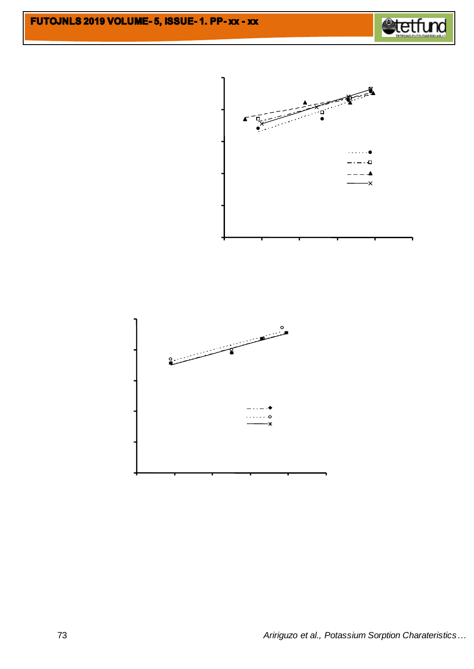



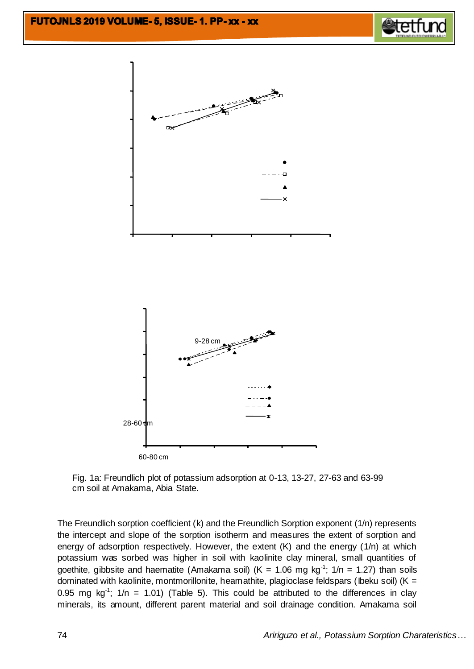







The Freundlich sorption coefficient (k) and the Freundlich Sorption exponent (1/n) represents the intercept and slope of the sorption isotherm and measures the extent of sorption and energy of adsorption respectively. However, the extent (K) and the energy (1/n) at which potassium was sorbed was higher in soil with kaolinite clay mineral, small quantities of goethite, gibbsite and haematite (Amakama soil) (K = 1.06 mg kg<sup>-1</sup>;  $1/n = 1.27$ ) than soils dominated with kaolinite, montmorillonite, heamathite, plagioclase feldspars (Ibeku soil) ( $K =$ 0.95 mg kg<sup>-1</sup>;  $1/n = 1.01$ ) (Table 5). This could be attributed to the differences in clay minerals, its amount, different parent material and soil drainage condition. Amakama soil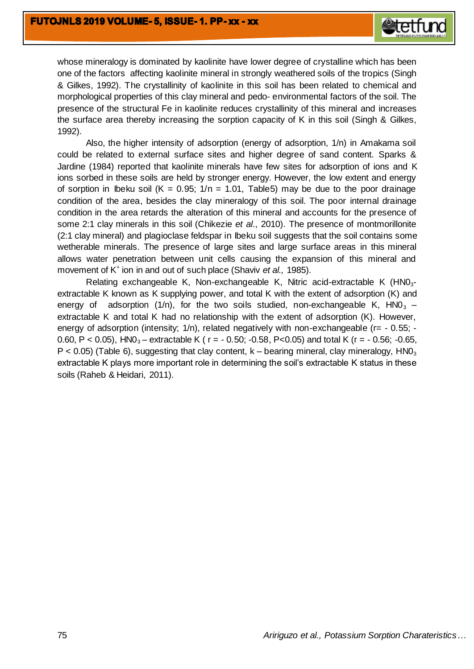

whose mineralogy is dominated by kaolinite have lower degree of crystalline which has been one of the factors affecting kaolinite mineral in strongly weathered soils of the tropics (Singh & Gilkes, 1992). The crystallinity of kaolinite in this soil has been related to chemical and morphological properties of this clay mineral and pedo- environmental factors of the soil. The presence of the structural Fe in kaolinite reduces crystallinity of this mineral and increases the surface area thereby increasing the sorption capacity of K in this soil (Singh & Gilkes, 1992).

Also, the higher intensity of adsorption (energy of adsorption, 1/n) in Amakama soil could be related to external surface sites and higher degree of sand content. Sparks & Jardine (1984) reported that kaolinite minerals have few sites for adsorption of ions and K ions sorbed in these soils are held by stronger energy. However, the low extent and energy of sorption in Ibeku soil (K = 0.95;  $1/n = 1.01$ , Table5) may be due to the poor drainage condition of the area, besides the clay mineralogy of this soil. The poor internal drainage condition in the area retards the alteration of this mineral and accounts for the presence of some 2:1 clay minerals in this soil (Chikezie *et al*., 2010). The presence of montmorillonite (2:1 clay mineral) and plagioclase feldspar in Ibeku soil suggests that the soil contains some wetherable minerals. The presence of large sites and large surface areas in this mineral allows water penetration between unit cells causing the expansion of this mineral and movement of K<sup>+</sup> ion in and out of such place (Shaviv *et al.,* 1985).

Relating exchangeable K, Non-exchangeable K, Nitric acid-extractable K ( $HNO<sub>3</sub>$ extractable K known as K supplying power, and total K with the extent of adsorption (K) and energy of adsorption (1/n), for the two soils studied, non-exchangeable K,  $HNO<sub>3</sub>$  – extractable K and total K had no relationship with the extent of adsorption (K). However, energy of adsorption (intensity;  $1/n$ ), related negatively with non-exchangeable ( $r = -0.55$ ; -0.60, P < 0.05),  $HNO_3$  – extractable K ( r = - 0.50; -0.58, P < 0.05) and total K (r = - 0.56; -0.65,  $P < 0.05$ ) (Table 6), suggesting that clay content, k – bearing mineral, clay mineralogy,  $HNO<sub>3</sub>$ extractable K plays more important role in determining the soil's extractable K status in these soils (Raheb & Heidari, 2011).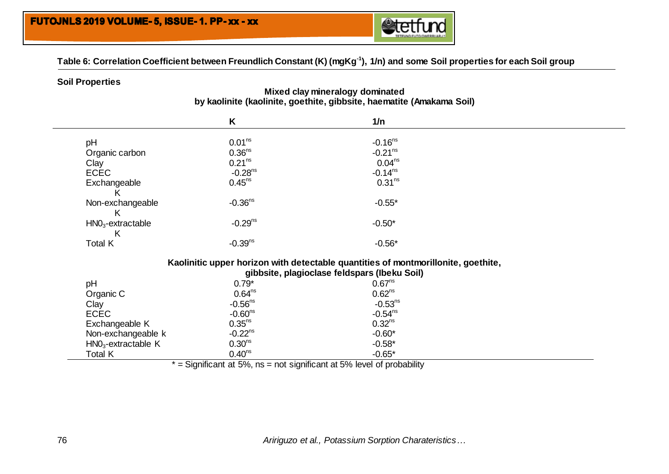

**Table 6: Correlation Coefficient between Freundlich Constant (K) (mgKg-1 ), 1/n) and some Soil properties for each Soil group**

## **Soil Properties**

|                       | K                     | 1/n                                                                               |  |
|-----------------------|-----------------------|-----------------------------------------------------------------------------------|--|
|                       | 0.01 <sup>ns</sup>    |                                                                                   |  |
| pH                    |                       | $-0.16ns$                                                                         |  |
| Organic carbon        | 0.36 <sup>ns</sup>    | $-0.21ns$                                                                         |  |
| Clay                  | 0.21 <sup>ns</sup>    | 0.04 <sup>ns</sup>                                                                |  |
| <b>ECEC</b>           | $-0.28$ <sup>ns</sup> | $-0.14^{ns}$                                                                      |  |
| Exchangeable          | $0.45$ <sup>ns</sup>  | 0.31 <sup>ns</sup>                                                                |  |
| Κ                     |                       |                                                                                   |  |
| Non-exchangeable      | $-0.36ns$             | $-0.55*$                                                                          |  |
| K                     |                       |                                                                                   |  |
| $HMO3$ -extractable   | $-0.29ns$             | $-0.50*$                                                                          |  |
| K                     |                       |                                                                                   |  |
| Total K               | $-0.39ns$             | $-0.56*$                                                                          |  |
|                       |                       | Kaolinitic upper horizon with detectable quantities of montmorillonite, goethite, |  |
|                       |                       | gibbsite, plagioclase feldspars (Ibeku Soil)                                      |  |
| pH                    | $0.79*$               | 0.67 <sup>ns</sup>                                                                |  |
| Organic C             | $0.64^{ns}$           | 0.62 <sup>ns</sup>                                                                |  |
| Clay                  | $-0.56$ <sup>ns</sup> | $-0.53^{ns}$                                                                      |  |
| <b>ECEC</b>           | $-0.60ns$             | $-0.54^{ns}$                                                                      |  |
| Exchangeable K        | 0.35 <sup>ns</sup>    | 0.32 <sup>ns</sup>                                                                |  |
| Non-exchangeable k    | $-0.22$ <sup>ns</sup> | $-0.60*$                                                                          |  |
| $HMO3$ -extractable K | 0.30 <sup>ns</sup>    | $-0.58*$                                                                          |  |
| <b>Total K</b>        | 0.40 <sup>ns</sup>    | $-0.65*$                                                                          |  |

**Mixed clay mineralogy dominated by kaolinite (kaolinite, goethite, gibbsite, haematite (Amakama Soil)**

 $*$  = Significant at 5%, ns = not significant at 5% level of probability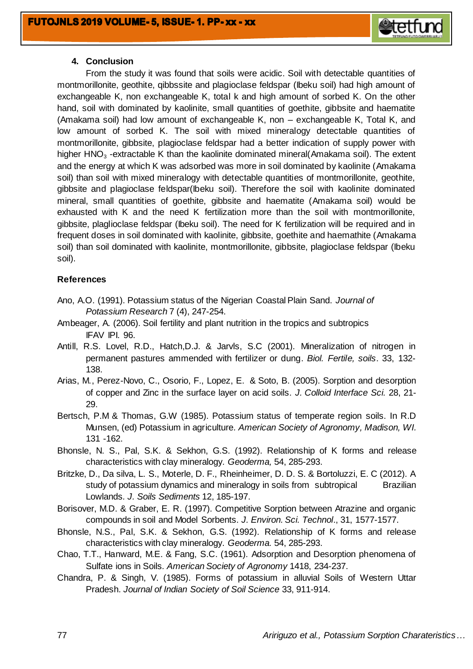

## **4. Conclusion**

From the study it was found that soils were acidic. Soil with detectable quantities of montmorillonite, geothite, qibbssite and plagioclase feldspar (Ibeku soil) had high amount of exchangeable K, non exchangeable K, total k and high amount of sorbed K. On the other hand, soil with dominated by kaolinite, small quantities of goethite, gibbsite and haematite (Amakama soil) had low amount of exchangeable K, non – exchangeable K, Total K, and low amount of sorbed K. The soil with mixed mineralogy detectable quantities of montmorillonite, gibbsite, plagioclase feldspar had a better indication of supply power with higher  $HNO<sub>3</sub>$  -extractable K than the kaolinite dominated mineral (Amakama soil). The extent and the energy at which K was adsorbed was more in soil dominated by kaolinite (Amakama soil) than soil with mixed mineralogy with detectable quantities of montmorillonite, geothite, gibbsite and plagioclase feldspar(Ibeku soil). Therefore the soil with kaolinite dominated mineral, small quantities of goethite, gibbsite and haematite (Amakama soil) would be exhausted with K and the need K fertilization more than the soil with montmorillonite, gibbsite, plaglioclase feldspar (Ibeku soil). The need for K fertilization will be required and in frequent doses in soil dominated with kaolinite, gibbsite, goethite and haemathite (Amakama soil) than soil dominated with kaolinite, montmorillonite, gibbsite, plagioclase feldspar (Ibeku soil).

## **References**

- Ano, A.O. (1991). Potassium status of the Nigerian Coastal Plain Sand. *Journal of Potassium Research* 7 (4), 247-254.
- Ambeager, A. (2006). Soil fertility and plant nutrition in the tropics and subtropics IFAV IPI. 96.
- Antill, R.S. Lovel, R.D., Hatch,D.J. & Jarvls, S.C (2001). Mineralization of nitrogen in permanent pastures ammended with fertilizer or dung. *Biol. Fertile, soils*. 33, 132- 138.
- Arias, M., Perez-Novo, C., Osorio, F., Lopez, E. & Soto, B. (2005). Sorption and desorption of copper and Zinc in the surface layer on acid soils. *J. Colloid Interface Sci.* 28, 21- 29.
- Bertsch, P.M & Thomas, G.W (1985). Potassium status of temperate region soils. In R.D Munsen, (ed) Potassium in agriculture*. American Society of Agronomy, Madison, WI.* 131 -162.
- Bhonsle, N. S., Pal, S.K. & Sekhon, G.S. (1992). Relationship of K forms and release characteristics with clay mineralogy. *Geoderma,* 54, 285-293.
- Britzke, D., Da silva, L. S., Moterle, D. F., Rheinheimer, D. D. S. & Bortoluzzi, E. C (2012). A study of potassium dynamics and mineralogy in soils from subtropical Brazilian Lowlands*. J. Soils Sediments* 12, 185-197.
- Borisover, M.D. & Graber, E. R. (1997). Competitive Sorption between Atrazine and organic compounds in soil and Model Sorbents. *J. Environ. Sci. Technol*., 31, 1577-1577.
- Bhonsle, N.S., Pal, S.K. & Sekhon, G.S. (1992). Relationship of K forms and release characteristics with clay mineralogy. *Geoderma.* 54, 285-293.
- Chao, T.T., Hanward, M.E. & Fang, S.C. (1961). Adsorption and Desorption phenomena of Sulfate ions in Soils*. American Society of Agronomy* 1418, 234-237.
- Chandra, P. & Singh, V. (1985). Forms of potassium in alluvial Soils of Western Uttar Pradesh. *Journal of Indian Society of Soil Science* 33, 911-914.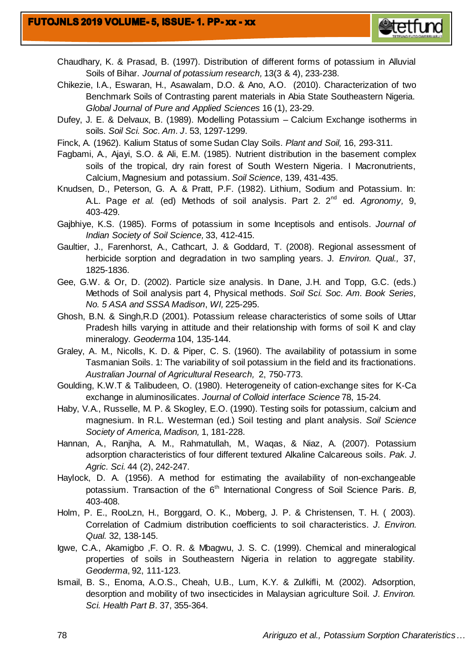

- Chaudhary, K. & Prasad, B. (1997). Distribution of different forms of potassium in Alluvial Soils of Bihar. *Journal of potassium research,* 13(3 & 4), 233-238.
- Chikezie, I.A., Eswaran, H., Asawalam, D.O. & Ano, A.O. (2010). Characterization of two Benchmark Soils of Contrasting parent materials in Abia State Southeastern Nigeria. *Global Journal of Pure and Applied Sciences* 16 (1), 23-29.
- Dufey, J. E. & Delvaux, B. (1989). Modelling Potassium Calcium Exchange isotherms in soils*. Soil Sci. Soc. Am. J*. 53, 1297-1299.
- Finck, A. (1962). Kalium Status of some Sudan Clay Soils. *Plant and Soil,* 16, 293-311.
- Fagbami, A., Ajayi, S.O. & Ali, E.M. (1985). Nutrient distribution in the basement complex soils of the tropical, dry rain forest of South Western Nigeria. I Macronutrients, Calcium, Magnesium and potassium. *Soil Science*, 139, 431-435.
- Knudsen, D., Peterson, G. A. & Pratt, P.F. (1982). Lithium, Sodium and Potassium. In: A.L. Page *et al.* (ed) Methods of soil analysis. Part 2. 2nd ed. *Agronomy,* 9, 403-429.
- Gajbhiye, K.S. (1985). Forms of potassium in some Inceptisols and entisols. *Journal of Indian Society of Soil Science,* 33, 412-415.
- Gaultier, J., Farenhorst, A., Cathcart, J. & Goddard, T. (2008). Regional assessment of herbicide sorption and degradation in two sampling years. J. *Environ. Qual.,* 37, 1825-1836.
- Gee, G.W. & Or, D. (2002). Particle size analysis. In Dane, J.H. and Topp, G.C. (eds.) Methods of Soil analysis part 4, Physical methods. *Soil Sci. Soc. Am. Book Series, No. 5 ASA and SSSA Madison*, *WI,* 225-295.
- Ghosh, B.N. & Singh,R.D (2001). Potassium release characteristics of some soils of Uttar Pradesh hills varying in attitude and their relationship with forms of soil K and clay mineralogy. *Geoderma* 104, 135-144.
- Graley, A. M., Nicolls, K. D. & Piper, C. S. (1960). The availability of potassium in some Tasmanian Soils. 1: The variability of soil potassium in the field and its fractionations*. Australian Journal of Agricultural Research,* 2, 750-773.
- Goulding, K.W.T & Talibudeen, O. (1980). Heterogeneity of cation-exchange sites for K-Ca exchange in aluminosilicates. *Journal of Colloid interface Science* 78, 15-24.
- Haby, V.A., Russelle, M. P. & Skogley, E.O. (1990). Testing soils for potassium, calcium and magnesium. In R.L. Westerman (ed.) Soil testing and plant analysis. *Soil Science Society of America, Madison,* 1, 181-228.
- Hannan, A., Ranjha, A. M., Rahmatullah, M., Waqas, & Niaz, A. (2007). Potassium adsorption characteristics of four different textured Alkaline Calcareous soils*. Pak. J. Agric. Sci.* 44 (2), 242-247.
- Haylock, D. A. (1956). A method for estimating the availability of non-exchangeable potassium. Transaction of the 6<sup>th</sup> International Congress of Soil Science Paris. *B*, 403-408.
- Holm, P. E., RooLzn, H., Borggard, O. K., Moberg, J. P. & Christensen, T. H. ( 2003). Correlation of Cadmium distribution coefficients to soil characteristics. *J. Environ. Qual.* 32, 138-145.
- Igwe, C.A., Akamigbo ,F. O. R. & Mbagwu, J. S. C. (1999). Chemical and mineralogical properties of soils in Southeastern Nigeria in relation to aggregate stability. *Geoderma*, 92, 111-123.
- Ismail, B. S., Enoma, A.O.S., Cheah, U.B., Lum, K.Y. & Zulkifli, M. (2002). Adsorption, desorption and mobility of two insecticides in Malaysian agriculture Soil. *J. Environ. Sci. Health Part B*. 37, 355-364.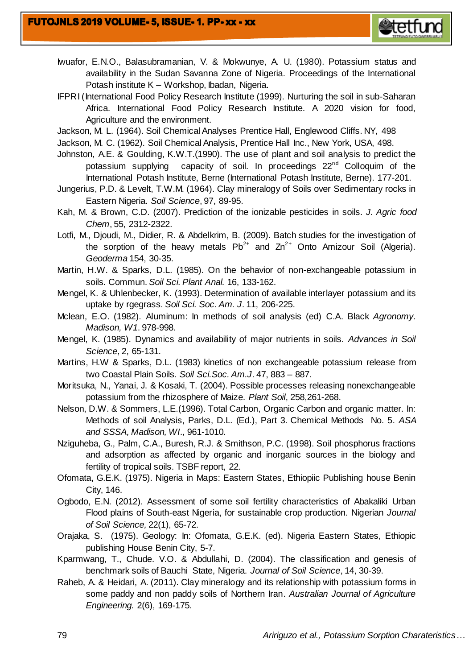

- Iwuafor, E.N.O., Balasubramanian, V. & Mokwunye, A. U. (1980). Potassium status and availability in the Sudan Savanna Zone of Nigeria*.* Proceedings of the International Potash institute K – Workshop, Ibadan, Nigeria.
- IFPRI (International Food Policy Research Institute (1999). Nurturing the soil in sub-Saharan Africa. International Food Policy Research Institute. A 2020 vision for food, Agriculture and the environment.
- Jackson, M. L. (1964). Soil Chemical Analyses Prentice Hall, Englewood Cliffs. NY, 498
- Jackson, M. C. (1962). Soil Chemical Analysis, Prentice Hall Inc., New York, USA, 498.
- Johnston, A.E. & Goulding, K.W.T.(1990). The use of plant and soil analysis to predict the potassium supplying capacity of soil. In proceedings 22<sup>nd</sup> Colloquim of the International Potash Institute, Berne (International Potash Institute, Berne). 177-201.
- Jungerius, P.D. & Levelt, T.W.M. (1964). Clay mineralogy of Soils over Sedimentary rocks in Eastern Nigeria. *Soil Science*, 97, 89-95.
- Kah, M. & Brown, C.D. (2007). Prediction of the ionizable pesticides in soils. *J. Agric food Chem*, 55, 2312-2322.
- Lotfi, M., Djoudi, M., Didier, R. & Abdelkrim, B. (2009). Batch studies for the investigation of the sorption of the heavy metals  $Pb^{2+}$  and  $Zn^{2+}$  Onto Amizour Soil (Algeria). *Geoderma* 154, 30-35.
- Martin, H.W. & Sparks, D.L. (1985). On the behavior of non-exchangeable potassium in soils*.* Commun. *Soil Sci. Plant Anal.* 16, 133-162.
- Mengel, K. & Uhlenbecker, K. (1993). Determination of available interlayer potassium and its uptake by rgegrass*. Soil Sci. Soc. Am. J*. 11, 206-225.
- Mclean, E.O. (1982). Aluminum: In methods of soil analysis (ed) C.A. Black *Agronomy. Madison, W1*. 978-998.
- Mengel, K. (1985). Dynamics and availability of major nutrients in soils. *Advances in Soil Science*, 2, 65-131.
- Martins, H.W & Sparks, D.L. (1983) kinetics of non exchangeable potassium release from two Coastal Plain Soils. *Soil Sci.Soc. Am.J*. 47, 883 – 887.
- Moritsuka, N., Yanai, J. & Kosaki, T. (2004). Possible processes releasing nonexchangeable potassium from the rhizosphere of Maize. *Plant Soil*, 258,261-268.
- Nelson, D.W. & Sommers, L.E.(1996). Total Carbon, Organic Carbon and organic matter. In: Methods of soil Analysis, Parks, D.L. (Ed.), Part 3. Chemical Methods No. 5*. ASA and SSSA, Madison, WI*., 961-1010.
- Nziguheba, G., Palm, C.A., Buresh, R.J. & Smithson, P.C. (1998). Soil phosphorus fractions and adsorption as affected by organic and inorganic sources in the biology and fertility of tropical soils. TSBF report, 22.
- Ofomata, G.E.K. (1975). Nigeria in Maps: Eastern States, Ethiopiic Publishing house Benin City, 146.
- Ogbodo, E.N. (2012). Assessment of some soil fertility characteristics of Abakaliki Urban Flood plains of South-east Nigeria, for sustainable crop production. Nigerian *Journal of Soil Science,* 22(1), 65-72.
- Orajaka, S. (1975). Geology: In: Ofomata, G.E.K. (ed). Nigeria Eastern States, Ethiopic publishing House Benin City, 5-7.
- Kparmwang, T., Chude. V.O. & Abdullahi, D. (2004). The classification and genesis of benchmark soils of Bauchi State, Nigeria. *Journal of Soil Science*, 14, 30-39.
- Raheb, A. & Heidari, A. (2011). Clay mineralogy and its relationship with potassium forms in some paddy and non paddy soils of Northern Iran. *Australian Journal of Agriculture Engineering.* 2(6), 169-175.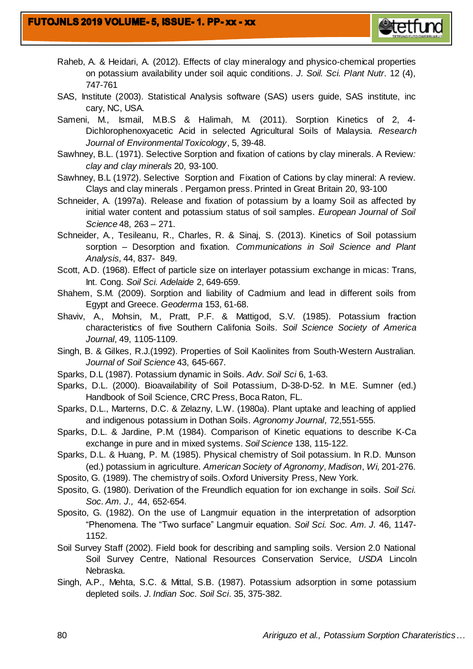

- Raheb, A. & Heidari, A. (2012). Effects of clay mineralogy and physico-chemical properties on potassium availability under soil aquic conditions*. J. Soil. Sci. Plant Nutr*. 12 (4), 747-761
- SAS, Institute (2003). Statistical Analysis software (SAS) users guide, SAS institute, inc cary, NC, USA.
- Sameni, M., Ismail, M.B.S & Halimah, M. (2011). Sorption Kinetics of 2, 4- Dichlorophenoxyacetic Acid in selected Agricultural Soils of Malaysia. *Research Journal of Environmental Toxicology*, 5, 39-48.
- Sawhney, B.L. (1971). Selective Sorption and fixation of cations by clay minerals. A Review*: clay and clay minerals* 20, 93-100.

Sawhney, B.L (1972). Selective Sorption and Fixation of Cations by clay mineral: A review. Clays and clay minerals . Pergamon press. Printed in Great Britain 20, 93-100

- Schneider, A. (1997a). Release and fixation of potassium by a loamy Soil as affected by initial water content and potassium status of soil samples. *European Journal of Soil Science* 48, 263 – 271.
- Schneider, A., Tesileanu, R., Charles, R. & Sinaj, S. (2013). Kinetics of Soil potassium sorption – Desorption and fixation*. Communications in Soil Science and Plant Analysis,* 44, 837- 849.
- Scott, A.D. (1968). Effect of particle size on interlayer potassium exchange in micas: Trans*,*  Int. Cong. *Soil Sci. Adelaide* 2, 649-659.

Shahem, S.M. (2009). Sorption and liability of Cadmium and lead in different soils from Egypt and Greece. *Geoderma* 153, 61-68.

- Shaviv, A., Mohsin, M., Pratt, P.F. & Mattigod, S.V. (1985). Potassium fraction characteristics of five Southern Califonia Soils. *Soil Science Society of America Journal*, 49, 1105-1109.
- Singh, B. & Gilkes, R.J.(1992). Properties of Soil Kaolinites from South-Western Australian. *Journal of Soil Science* 43, 645-667.
- Sparks, D.L (1987). Potassium dynamic in Soils. *Adv. Soil Sci* 6, 1-63.
- Sparks, D.L. (2000). Bioavailability of Soil Potassium, D-38-D-52. In M.E. Sumner (ed.) Handbook of Soil Science, CRC Press, Boca Raton, FL.
- Sparks, D.L., Marterns, D.C. & Zelazny, L.W. (1980a). Plant uptake and leaching of applied and indigenous potassium in Dothan Soils. *Agronomy Journal*, 72,551-555.
- Sparks, D.L. & Jardine, P.M. (1984). Comparison of Kinetic equations to describe K-Ca exchange in pure and in mixed systems. *Soil Science* 138, 115-122.
- Sparks, D.L. & Huang, P. M. (1985). Physical chemistry of Soil potassium. In R.D. Munson (ed.) potassium in agriculture. *American Society of Agronomy, Madison*, *Wi,* 201-276.
- Sposito, G. (1989). The chemistry of soils. Oxford University Press, New York.
- Sposito, G. (1980). Derivation of the Freundlich equation for ion exchange in soils. *Soil Sci. Soc. Am. J.,* 44, 652-654.
- Sposito, G. (1982). On the use of Langmuir equation in the interpretation of adsorption "Phenomena. The "Two surface" Langmuir equation. *Soil Sci. Soc. Am. J.* 46, 1147- 1152.
- Soil Survey Staff (2002). Field book for describing and sampling soils. Version 2.0 National Soil Survey Centre, National Resources Conservation Service, *USDA* Lincoln Nebraska.
- Singh, A.P., Mehta, S.C. & Mittal, S.B. (1987). Potassium adsorption in some potassium depleted soils*. J. Indian Soc. Soil Sci*. 35, 375-382.